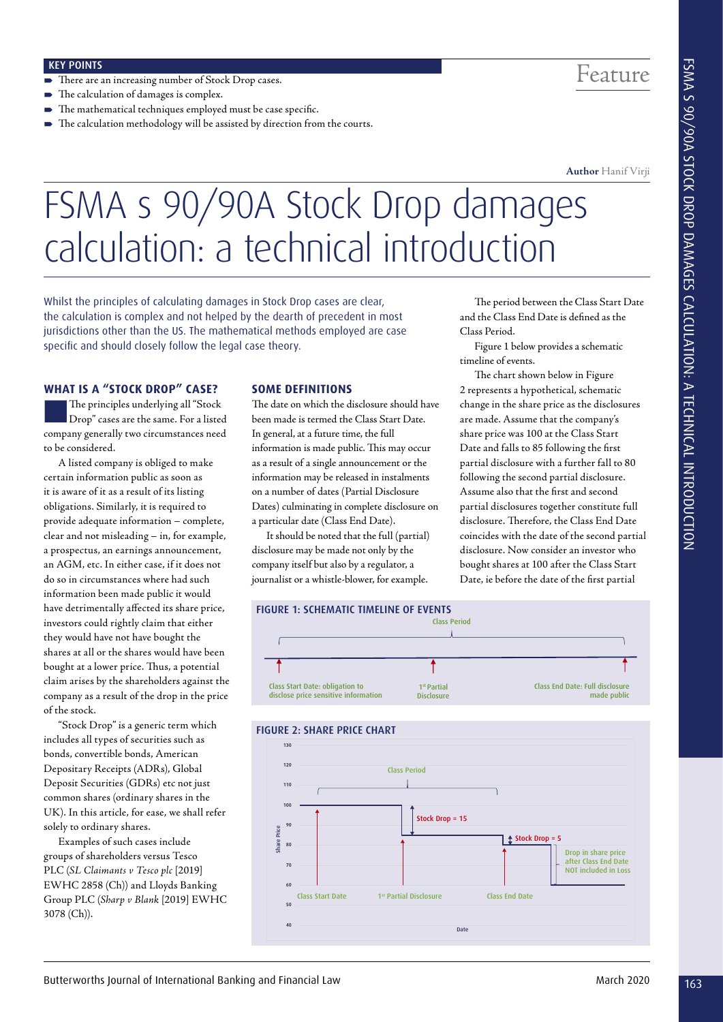- There are an increasing number of Stock Drop cases.
- The calculation of damages is complex.
- The mathematical techniques employed must be case specific.
- The calculation methodology will be assisted by direction from the courts.

## Feature

**Author** Hanif Virji

# FSMA s 90/90A Stock Drop damages calculation: a technical introduction

Whilst the principles of calculating damages in Stock Drop cases are clear, the calculation is complex and not helped by the dearth of precedent in most jurisdictions other than the US. The mathematical methods employed are case specific and should closely follow the legal case theory.

#### **WHAT IS A "STOCK DROP" CASE?**

nThe principles underlying all "Stock Drop" cases are the same. For a listed company generally two circumstances need to be considered.

A listed company is obliged to make certain information public as soon as it is aware of it as a result of its listing obligations. Similarly, it is required to provide adequate information – complete, clear and not misleading – in, for example, a prospectus, an earnings announcement, an AGM, etc. In either case, if it does not do so in circumstances where had such information been made public it would have detrimentally affected its share price, investors could rightly claim that either they would have not have bought the shares at all or the shares would have been bought at a lower price. Thus, a potential claim arises by the shareholders against the company as a result of the drop in the price of the stock.

"Stock Drop" is a generic term which includes all types of securities such as bonds, convertible bonds, American Depositary Receipts (ADRs), Global Deposit Securities (GDRs) etc not just common shares (ordinary shares in the UK). In this article, for ease, we shall refer solely to ordinary shares.

Examples of such cases include groups of shareholders versus Tesco PLC (*SL Claimants v Tesco plc* [2019] EWHC 2858 (Ch)) and Lloyds Banking Group PLC (*Sharp v Blank* [2019] EWHC 3078 (Ch)).

#### **SOME DEFINITIONS**

The date on which the disclosure should have been made is termed the Class Start Date. In general, at a future time, the full information is made public. This may occur as a result of a single announcement or the information may be released in instalments on a number of dates (Partial Disclosure Dates) culminating in complete disclosure on a particular date (Class End Date).

It should be noted that the full (partial) disclosure may be made not only by the company itself but also by a regulator, a journalist or a whistle-blower, for example.

The period between the Class Start Date and the Class End Date is defined as the Class Period.

Figure 1 below provides a schematic timeline of events.

The chart shown below in Figure 2 represents a hypothetical, schematic change in the share price as the disclosures are made. Assume that the company's share price was 100 at the Class Start Date and falls to 85 following the first partial disclosure with a further fall to 80 following the second partial disclosure. Assume also that the first and second partial disclosures together constitute full disclosure. Therefore, the Class End Date coincides with the date of the second partial disclosure. Now consider an investor who bought shares at 100 after the Class Start Date, ie before the date of the first partial



#### FIGURE 2: SHARE PRICE CHART

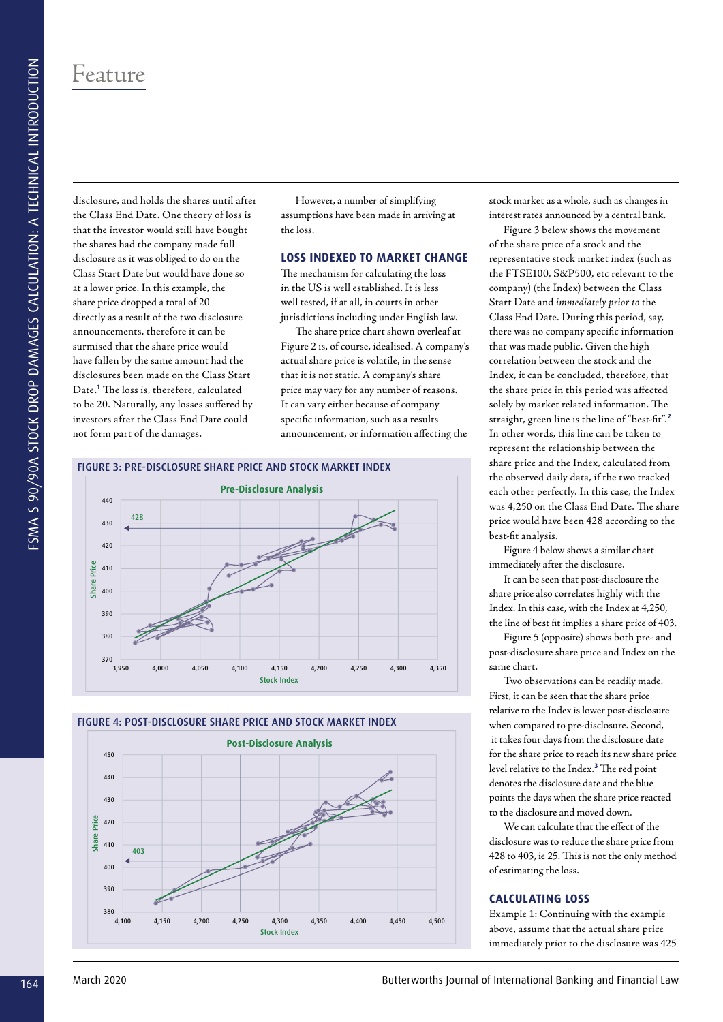### Feature

disclosure, and holds the shares until after the Class End Date. One theory of loss is that the investor would still have bought the shares had the company made full disclosure as it was obliged to do on the Class Start Date but would have done so at a lower price. In this example, the share price dropped a total of 20 directly as a result of the two disclosure announcements, therefore it can be surmised that the share price would have fallen by the same amount had the disclosures been made on the Class Start Date.**<sup>1</sup>** The loss is, therefore, calculated to be 20. Naturally, any losses suffered by investors after the Class End Date could not form part of the damages.

However, a number of simplifying assumptions have been made in arriving at the loss.

#### **LOSS INDEXED TO MARKET CHANGE**

The mechanism for calculating the loss in the US is well established. It is less well tested, if at all, in courts in other jurisdictions including under English law.

The share price chart shown overleaf at Figure 2 is, of course, idealised. A company's actual share price is volatile, in the sense that it is not static. A company's share price may vary for any number of reasons. It can vary either because of company specific information, such as a results announcement, or information affecting the

#### FIGURE 3: PRE-DISCLOSURE SHARE PRICE AND STOCK MARKET INDEX



#### FIGURE 4: POST-DISCLOSURE SHARE PRICE AND STOCK MARKET INDEX



stock market as a whole, such as changes in interest rates announced by a central bank.

Figure 3 below shows the movement of the share price of a stock and the representative stock market index (such as the FTSE100, S&P500, etc relevant to the company) (the Index) between the Class Start Date and *immediately prior to* the Class End Date. During this period, say, there was no company specific information that was made public. Given the high correlation between the stock and the Index, it can be concluded, therefore, that the share price in this period was affected solely by market related information. The straight, green line is the line of "best-fit".**<sup>2</sup>** In other words, this line can be taken to represent the relationship between the share price and the Index, calculated from the observed daily data, if the two tracked each other perfectly. In this case, the Index was 4,250 on the Class End Date. The share price would have been 428 according to the best-fit analysis.

Figure 4 below shows a similar chart immediately after the disclosure.

It can be seen that post-disclosure the share price also correlates highly with the Index. In this case, with the Index at 4,250, the line of best fit implies a share price of 403.

Figure 5 (opposite) shows both pre- and post-disclosure share price and Index on the same chart.

Two observations can be readily made. First, it can be seen that the share price relative to the Index is lower post-disclosure when compared to pre-disclosure. Second, it takes four days from the disclosure date for the share price to reach its new share price level relative to the Index.**<sup>3</sup>** The red point denotes the disclosure date and the blue points the days when the share price reacted to the disclosure and moved down.

We can calculate that the effect of the disclosure was to reduce the share price from 428 to 403, ie 25. This is not the only method of estimating the loss.

#### **CALCULATING LOSS**

Example 1: Continuing with the example above, assume that the actual share price immediately prior to the disclosure was 425